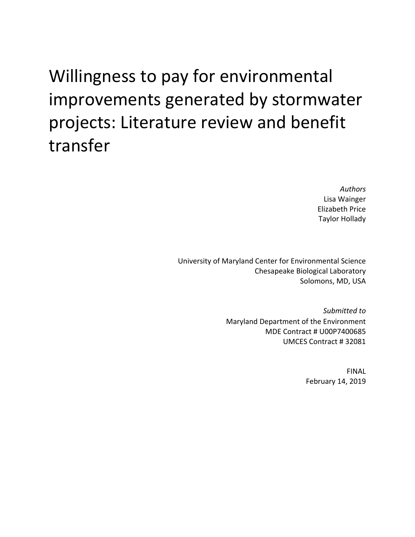Willingness to pay for environmental improvements generated by stormwater projects: Literature review and benefit transfer

> *Authors*  Lisa Wainger Elizabeth Price Taylor Hollady

University of Maryland Center for Environmental Science Chesapeake Biological Laboratory Solomons, MD, USA

> *Submitted to*  Maryland Department of the Environment MDE Contract # U00P7400685 UMCES Contract # 32081

> > FINAL February 14, 2019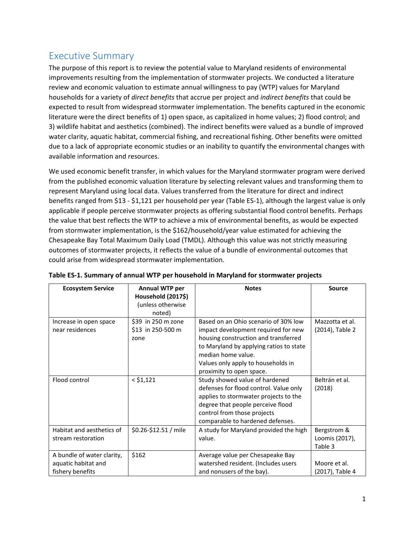## Executive Summary

The purpose of this report is to review the potential value to Maryland residents of environmental improvements resulting from the implementation of stormwater projects. We conducted a literature review and economic valuation to estimate annual willingness to pay (WTP) values for Maryland households for a variety of *direct benefits* that accrue per project and *indirect benefits* that could be expected to result from widespread stormwater implementation. The benefits captured in the economic literature were the direct benefits of 1) open space, as capitalized in home values; 2) flood control; and 3) wildlife habitat and aesthetics (combined). The indirect benefits were valued as a bundle of improved water clarity, aquatic habitat, commercial fishing, and recreational fishing. Other benefits were omitted due to a lack of appropriate economic studies or an inability to quantify the environmental changes with available information and resources.

We used economic benefit transfer, in which values for the Maryland stormwater program were derived from the published economic valuation literature by selecting relevant values and transforming them to represent Maryland using local data. Values transferred from the literature for direct and indirect benefits ranged from \$13 ‐ \$1,121 per household per year (Table ES‐1), although the largest value is only applicable if people perceive stormwater projects as offering substantial flood control benefits. Perhaps the value that best reflects the WTP to achieve a mix of environmental benefits, as would be expected from stormwater implementation, is the \$162/household/year value estimated for achieving the Chesapeake Bay Total Maximum Daily Load (TMDL). Although this value was not strictly measuring outcomes of stormwater projects, it reflects the value of a bundle of environmental outcomes that could arise from widespread stormwater implementation.

| <b>Ecosystem Service</b>                                              | <b>Annual WTP per</b><br>Household (2017\$)<br>(unless otherwise<br>noted) | <b>Notes</b>                                                                                                                                                                                                                                           | <b>Source</b>                            |
|-----------------------------------------------------------------------|----------------------------------------------------------------------------|--------------------------------------------------------------------------------------------------------------------------------------------------------------------------------------------------------------------------------------------------------|------------------------------------------|
| Increase in open space<br>near residences                             | \$39 in 250 m zone<br>\$13 in 250-500 m<br>zone                            | Based on an Ohio scenario of 30% low<br>impact development required for new<br>housing construction and transferred<br>to Maryland by applying ratios to state<br>median home value.<br>Values only apply to households in<br>proximity to open space. | Mazzotta et al.<br>(2014), Table 2       |
| Flood control                                                         | $<$ \$1,121                                                                | Study showed value of hardened<br>defenses for flood control. Value only<br>applies to stormwater projects to the<br>degree that people perceive flood<br>control from those projects<br>comparable to hardened defenses.                              | Beltrán et al.<br>(2018)                 |
| Habitat and aesthetics of<br>stream restoration                       | \$0.26-\$12.51 / mile                                                      | A study for Maryland provided the high<br>value.                                                                                                                                                                                                       | Bergstrom &<br>Loomis (2017),<br>Table 3 |
| A bundle of water clarity,<br>aquatic habitat and<br>fishery benefits | \$162                                                                      | Average value per Chesapeake Bay<br>watershed resident. (Includes users<br>and nonusers of the bay).                                                                                                                                                   | Moore et al.<br>(2017), Table 4          |

#### **Table ES‐1. Summary of annual WTP per household in Maryland for stormwater projects**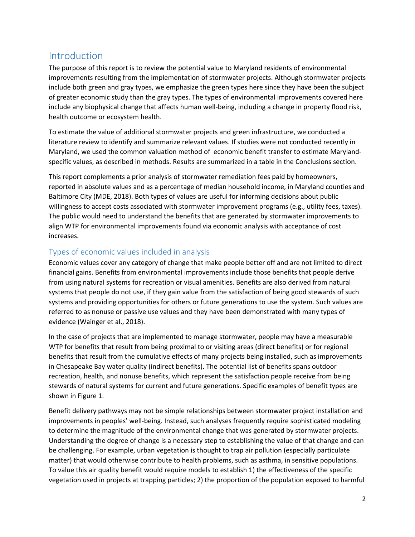## Introduction

The purpose of this report is to review the potential value to Maryland residents of environmental improvements resulting from the implementation of stormwater projects. Although stormwater projects include both green and gray types, we emphasize the green types here since they have been the subject of greater economic study than the gray types. The types of environmental improvements covered here include any biophysical change that affects human well-being, including a change in property flood risk, health outcome or ecosystem health.

To estimate the value of additional stormwater projects and green infrastructure, we conducted a literature review to identify and summarize relevant values. If studies were not conducted recently in Maryland, we used the common valuation method of economic benefit transfer to estimate Maryland‐ specific values, as described in methods. Results are summarized in a table in the Conclusions section.

This report complements a prior analysis of stormwater remediation fees paid by homeowners, reported in absolute values and as a percentage of median household income, in Maryland counties and Baltimore City (MDE, 2018). Both types of values are useful for informing decisions about public willingness to accept costs associated with stormwater improvement programs (e.g., utility fees, taxes). The public would need to understand the benefits that are generated by stormwater improvements to align WTP for environmental improvements found via economic analysis with acceptance of cost increases.

### Types of economic values included in analysis

Economic values cover any category of change that make people better off and are not limited to direct financial gains. Benefits from environmental improvements include those benefits that people derive from using natural systems for recreation or visual amenities. Benefits are also derived from natural systems that people do not use, if they gain value from the satisfaction of being good stewards of such systems and providing opportunities for others or future generations to use the system. Such values are referred to as nonuse or passive use values and they have been demonstrated with many types of evidence (Wainger et al., 2018).

In the case of projects that are implemented to manage stormwater, people may have a measurable WTP for benefits that result from being proximal to or visiting areas (direct benefits) or for regional benefits that result from the cumulative effects of many projects being installed, such as improvements in Chesapeake Bay water quality (indirect benefits). The potential list of benefits spans outdoor recreation, health, and nonuse benefits, which represent the satisfaction people receive from being stewards of natural systems for current and future generations. Specific examples of benefit types are shown in Figure 1.

Benefit delivery pathways may not be simple relationships between stormwater project installation and improvements in peoples' well-being. Instead, such analyses frequently require sophisticated modeling to determine the magnitude of the environmental change that was generated by stormwater projects. Understanding the degree of change is a necessary step to establishing the value of that change and can be challenging. For example, urban vegetation is thought to trap air pollution (especially particulate matter) that would otherwise contribute to health problems, such as asthma, in sensitive populations. To value this air quality benefit would require models to establish 1) the effectiveness of the specific vegetation used in projects at trapping particles; 2) the proportion of the population exposed to harmful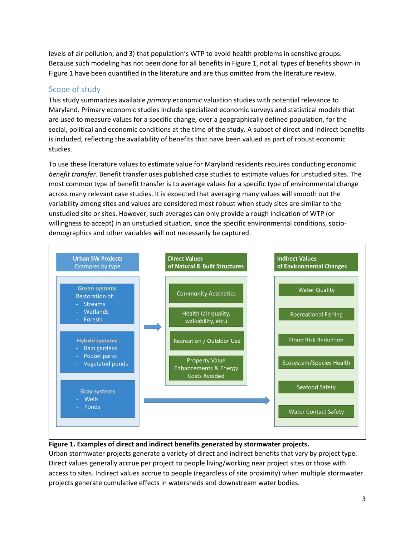levels of air pollution; and 3) that population's WTP to avoid health problems in sensitive groups. Because such modeling has not been done for all benefits in Figure 1, not all types of benefits shown in Figure 1 have been quantified in the literature and are thus omitted from the literature review.

### Scope of study

This study summarizes available *primary* economic valuation studies with potential relevance to Maryland. Primary economic studies include specialized economic surveys and statistical models that are used to measure values for a specific change, over a geographically defined population, for the social, political and economic conditions at the time of the study. A subset of direct and indirect benefits is included, reflecting the availability of benefits that have been valued as part of robust economic studies.

To use these literature values to estimate value for Maryland residents requires conducting economic *benefit transfer*. Benefit transfer uses published case studies to estimate values for unstudied sites. The most common type of benefit transfer is to average values for a specific type of environmental change across many relevant case studies. It is expected that averaging many values will smooth out the variability among sites and values are considered most robust when study sites are similar to the unstudied site or sites. However, such averages can only provide a rough indication of WTP (or willingness to accept) in an unstudied situation, since the specific environmental conditions, sociodemographics and other variables will not necessarily be captured.



#### **Figure 1. Examples of direct and indirect benefits generated by stormwater projects.**

Urban stormwater projects generate a variety of direct and indirect benefits that vary by project type. Direct values generally accrue per project to people living/working near project sites or those with access to sites. Indirect values accrue to people (regardless of site proximity) when multiple stormwater projects generate cumulative effects in watersheds and downstream water bodies.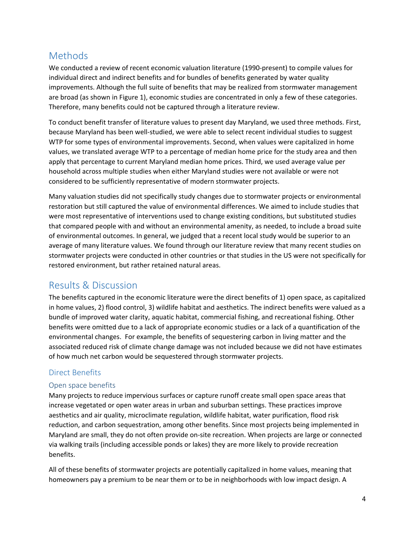## Methods

We conducted a review of recent economic valuation literature (1990-present) to compile values for individual direct and indirect benefits and for bundles of benefits generated by water quality improvements. Although the full suite of benefits that may be realized from stormwater management are broad (as shown in Figure 1), economic studies are concentrated in only a few of these categories. Therefore, many benefits could not be captured through a literature review.

To conduct benefit transfer of literature values to present day Maryland, we used three methods. First, because Maryland has been well‐studied, we were able to select recent individual studies to suggest WTP for some types of environmental improvements. Second, when values were capitalized in home values, we translated average WTP to a percentage of median home price for the study area and then apply that percentage to current Maryland median home prices. Third, we used average value per household across multiple studies when either Maryland studies were not available or were not considered to be sufficiently representative of modern stormwater projects.

Many valuation studies did not specifically study changes due to stormwater projects or environmental restoration but still captured the value of environmental differences. We aimed to include studies that were most representative of interventions used to change existing conditions, but substituted studies that compared people with and without an environmental amenity, as needed, to include a broad suite of environmental outcomes. In general, we judged that a recent local study would be superior to an average of many literature values. We found through our literature review that many recent studies on stormwater projects were conducted in other countries or that studies in the US were not specifically for restored environment, but rather retained natural areas.

## Results & Discussion

The benefits captured in the economic literature were the direct benefits of 1) open space, as capitalized in home values, 2) flood control, 3) wildlife habitat and aesthetics. The indirect benefits were valued as a bundle of improved water clarity, aquatic habitat, commercial fishing, and recreational fishing. Other benefits were omitted due to a lack of appropriate economic studies or a lack of a quantification of the environmental changes. For example, the benefits of sequestering carbon in living matter and the associated reduced risk of climate change damage was not included because we did not have estimates of how much net carbon would be sequestered through stormwater projects.

### Direct Benefits

#### Open space benefits

Many projects to reduce impervious surfaces or capture runoff create small open space areas that increase vegetated or open water areas in urban and suburban settings. These practices improve aesthetics and air quality, microclimate regulation, wildlife habitat, water purification, flood risk reduction, and carbon sequestration, among other benefits. Since most projects being implemented in Maryland are small, they do not often provide on‐site recreation. When projects are large or connected via walking trails (including accessible ponds or lakes) they are more likely to provide recreation benefits.

All of these benefits of stormwater projects are potentially capitalized in home values, meaning that homeowners pay a premium to be near them or to be in neighborhoods with low impact design. A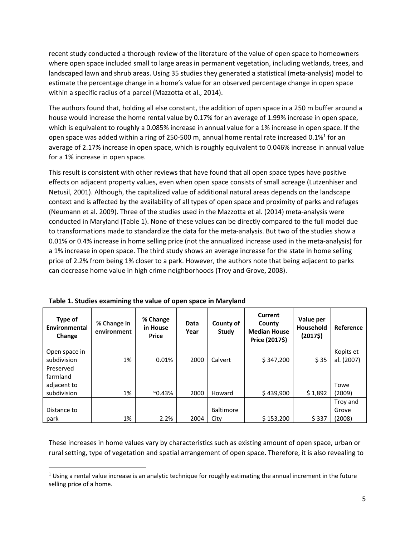recent study conducted a thorough review of the literature of the value of open space to homeowners where open space included small to large areas in permanent vegetation, including wetlands, trees, and landscaped lawn and shrub areas. Using 35 studies they generated a statistical (meta‐analysis) model to estimate the percentage change in a home's value for an observed percentage change in open space within a specific radius of a parcel (Mazzotta et al., 2014).

The authors found that, holding all else constant, the addition of open space in a 250 m buffer around a house would increase the home rental value by 0.17% for an average of 1.99% increase in open space, which is equivalent to roughly a 0.085% increase in annual value for a 1% increase in open space. If the open space was added within a ring of 250-500 m, annual home rental rate increased 0.1%<sup>1</sup> for an average of 2.17% increase in open space, which is roughly equivalent to 0.046% increase in annual value for a 1% increase in open space.

This result is consistent with other reviews that have found that all open space types have positive effects on adjacent property values, even when open space consists of small acreage (Lutzenhiser and Netusil, 2001). Although, the capitalized value of additional natural areas depends on the landscape context and is affected by the availability of all types of open space and proximity of parks and refuges (Neumann et al. 2009). Three of the studies used in the Mazzotta et al. (2014) meta‐analysis were conducted in Maryland (Table 1). None of these values can be directly compared to the full model due to transformations made to standardize the data for the meta‐analysis. But two of the studies show a 0.01% or 0.4% increase in home selling price (not the annualized increase used in the meta‐analysis) for a 1% increase in open space. The third study shows an average increase for the state in home selling price of 2.2% from being 1% closer to a park. However, the authors note that being adjacent to parks can decrease home value in high crime neighborhoods (Troy and Grove, 2008).

| Type of<br>Environmental<br>Change | % Change in<br>environment | % Change<br>in House<br><b>Price</b> | Data<br>Year | County of<br>Study | <b>Current</b><br>County<br><b>Median House</b><br>Price (2017\$) | Value per<br><b>Household</b><br>$(2017\$ | Reference  |
|------------------------------------|----------------------------|--------------------------------------|--------------|--------------------|-------------------------------------------------------------------|-------------------------------------------|------------|
| Open space in                      |                            |                                      |              |                    |                                                                   |                                           | Kopits et  |
| subdivision                        | 1%                         | 0.01%                                | 2000         | Calvert            | \$347,200                                                         | \$35                                      | al. (2007) |
| Preserved                          |                            |                                      |              |                    |                                                                   |                                           |            |
| farmland                           |                            |                                      |              |                    |                                                                   |                                           |            |
| adjacent to                        |                            |                                      |              |                    |                                                                   |                                           | Towe       |
| subdivision                        | 1%                         | $^{\sim}$ 0.43%                      | 2000         | Howard             | \$439,900                                                         | \$1,892                                   | (2009)     |
|                                    |                            |                                      |              |                    |                                                                   |                                           | Troy and   |
| Distance to                        |                            |                                      |              | <b>Baltimore</b>   |                                                                   |                                           | Grove      |
| park                               | 1%                         | 2.2%                                 | 2004         | City               | \$153,200                                                         | \$337                                     | (2008)     |

These increases in home values vary by characteristics such as existing amount of open space, urban or rural setting, type of vegetation and spatial arrangement of open space. Therefore, it is also revealing to

 $1$  Using a rental value increase is an analytic technique for roughly estimating the annual increment in the future selling price of a home.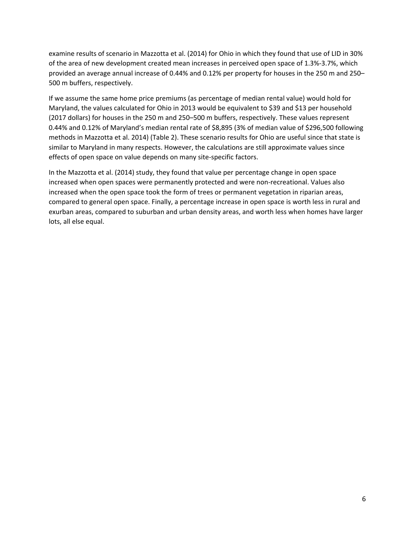examine results of scenario in Mazzotta et al. (2014) for Ohio in which they found that use of LID in 30% of the area of new development created mean increases in perceived open space of 1.3%‐3.7%, which provided an average annual increase of 0.44% and 0.12% per property for houses in the 250 m and 250– 500 m buffers, respectively.

If we assume the same home price premiums (as percentage of median rental value) would hold for Maryland, the values calculated for Ohio in 2013 would be equivalent to \$39 and \$13 per household (2017 dollars) for houses in the 250 m and 250–500 m buffers, respectively. These values represent 0.44% and 0.12% of Maryland's median rental rate of \$8,895 (3% of median value of \$296,500 following methods in Mazzotta et al. 2014) (Table 2). These scenario results for Ohio are useful since that state is similar to Maryland in many respects. However, the calculations are still approximate values since effects of open space on value depends on many site‐specific factors.

In the Mazzotta et al. (2014) study, they found that value per percentage change in open space increased when open spaces were permanently protected and were non-recreational. Values also increased when the open space took the form of trees or permanent vegetation in riparian areas, compared to general open space. Finally, a percentage increase in open space is worth less in rural and exurban areas, compared to suburban and urban density areas, and worth less when homes have larger lots, all else equal.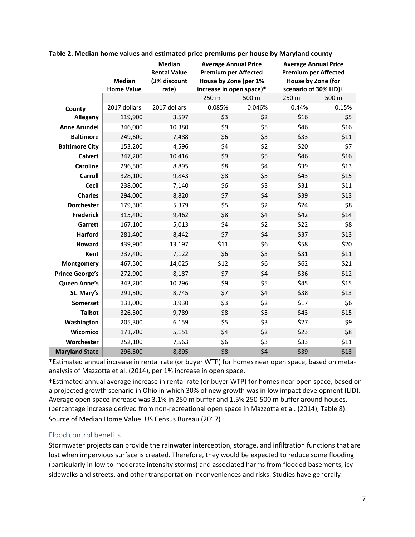|                        | <b>Median</b><br><b>Home Value</b> | Median<br><b>Rental Value</b><br>(3% discount<br>rate) | <b>Average Annual Price</b><br><b>Premium per Affected</b><br>House by Zone (per 1%<br>increase in open space)* |        | <b>Average Annual Price</b><br><b>Premium per Affected</b><br>House by Zone (for<br>scenario of 30% LID)+ |       |
|------------------------|------------------------------------|--------------------------------------------------------|-----------------------------------------------------------------------------------------------------------------|--------|-----------------------------------------------------------------------------------------------------------|-------|
|                        |                                    |                                                        | 250 m                                                                                                           | 500 m  | 250 m                                                                                                     | 500 m |
| County                 | 2017 dollars                       | 2017 dollars                                           | 0.085%                                                                                                          | 0.046% | 0.44%                                                                                                     | 0.15% |
| Allegany               | 119,900                            | 3,597                                                  | \$3                                                                                                             | \$2    | \$16                                                                                                      | \$5   |
| <b>Anne Arundel</b>    | 346,000                            | 10,380                                                 | \$9                                                                                                             | \$5    | \$46                                                                                                      | \$16  |
| <b>Baltimore</b>       | 249,600                            | 7,488                                                  | \$6                                                                                                             | \$3    | \$33                                                                                                      | \$11  |
| <b>Baltimore City</b>  | 153,200                            | 4,596                                                  | \$4                                                                                                             | \$2    | \$20                                                                                                      | \$7   |
| <b>Calvert</b>         | 347,200                            | 10,416                                                 | \$9                                                                                                             | \$5    | \$46                                                                                                      | \$16  |
| <b>Caroline</b>        | 296,500                            | 8,895                                                  | \$8                                                                                                             | \$4    | \$39                                                                                                      | \$13  |
| <b>Carroll</b>         | 328,100                            | 9,843                                                  | \$8                                                                                                             | \$5    | \$43                                                                                                      | \$15  |
| <b>Cecil</b>           | 238,000                            | 7,140                                                  | \$6                                                                                                             | \$3    | \$31                                                                                                      | \$11  |
| <b>Charles</b>         | 294,000                            | 8,820                                                  | \$7                                                                                                             | \$4    | \$39                                                                                                      | \$13  |
| <b>Dorchester</b>      | 179,300                            | 5,379                                                  | \$5                                                                                                             | \$2    | \$24                                                                                                      | \$8   |
| <b>Frederick</b>       | 315,400                            | 9,462                                                  | \$8                                                                                                             | \$4    | \$42                                                                                                      | \$14  |
| Garrett                | 167,100                            | 5,013                                                  | \$4                                                                                                             | \$2    | \$22                                                                                                      | \$8   |
| <b>Harford</b>         | 281,400                            | 8,442                                                  | \$7                                                                                                             | \$4    | \$37                                                                                                      | \$13  |
| Howard                 | 439,900                            | 13,197                                                 | \$11                                                                                                            | \$6    | \$58                                                                                                      | \$20  |
| Kent                   | 237,400                            | 7,122                                                  | \$6                                                                                                             | \$3    | \$31                                                                                                      | \$11  |
| Montgomery             | 467,500                            | 14,025                                                 | \$12                                                                                                            | \$6    | \$62                                                                                                      | \$21  |
| <b>Prince George's</b> | 272,900                            | 8,187                                                  | \$7                                                                                                             | \$4    | \$36                                                                                                      | \$12  |
| Queen Anne's           | 343,200                            | 10,296                                                 | \$9                                                                                                             | \$5    | \$45                                                                                                      | \$15  |
| St. Mary's             | 291,500                            | 8,745                                                  | \$7                                                                                                             | \$4    | \$38                                                                                                      | \$13  |
| <b>Somerset</b>        | 131,000                            | 3,930                                                  | \$3                                                                                                             | \$2    | \$17                                                                                                      | \$6   |
| <b>Talbot</b>          | 326,300                            | 9,789                                                  | \$8                                                                                                             | \$5    | \$43                                                                                                      | \$15  |
| Washington             | 205,300                            | 6,159                                                  | \$5                                                                                                             | \$3    | \$27                                                                                                      | \$9   |
| Wicomico               | 171,700                            | 5,151                                                  | \$4                                                                                                             | \$2    | \$23                                                                                                      | \$8   |
| Worchester             | 252,100                            | 7,563                                                  | \$6                                                                                                             | \$3    | \$33                                                                                                      | \$11  |
| <b>Maryland State</b>  | 296,500                            | 8,895                                                  | \$8                                                                                                             | \$4    | \$39                                                                                                      | \$13  |

**Table 2. Median home values and estimated price premiums per house by Maryland county** 

\*Estimated annual increase in rental rate (or buyer WTP) for homes near open space, based on meta‐ analysis of Mazzotta et al. (2014), per 1% increase in open space.

†EsƟmated annual average increase in rental rate (or buyer WTP) for homes near open space, based on a projected growth scenario in Ohio in which 30% of new growth was in low impact development (LID). Average open space increase was 3.1% in 250 m buffer and 1.5% 250‐500 m buffer around houses. (percentage increase derived from non‐recreational open space in Mazzotta et al. (2014), Table 8). Source of Median Home Value: US Census Bureau (2017)

### Flood control benefits

Stormwater projects can provide the rainwater interception, storage, and infiltration functions that are lost when impervious surface is created. Therefore, they would be expected to reduce some flooding (particularly in low to moderate intensity storms) and associated harms from flooded basements, icy sidewalks and streets, and other transportation inconveniences and risks. Studies have generally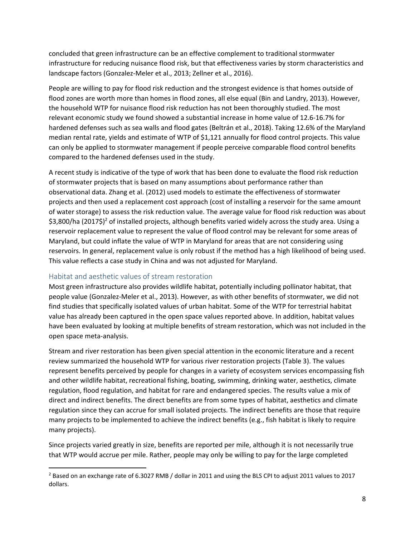concluded that green infrastructure can be an effective complement to traditional stormwater infrastructure for reducing nuisance flood risk, but that effectiveness varies by storm characteristics and landscape factors (Gonzalez‐Meler et al., 2013; Zellner et al., 2016).

People are willing to pay for flood risk reduction and the strongest evidence is that homes outside of flood zones are worth more than homes in flood zones, all else equal (Bin and Landry, 2013). However, the household WTP for nuisance flood risk reduction has not been thoroughly studied. The most relevant economic study we found showed a substantial increase in home value of 12.6‐16.7% for hardened defenses such as sea walls and flood gates (Beltrán et al., 2018). Taking 12.6% of the Maryland median rental rate, yields and estimate of WTP of \$1,121 annually for flood control projects. This value can only be applied to stormwater management if people perceive comparable flood control benefits compared to the hardened defenses used in the study.

A recent study is indicative of the type of work that has been done to evaluate the flood risk reduction of stormwater projects that is based on many assumptions about performance rather than observational data. Zhang et al. (2012) used models to estimate the effectiveness of stormwater projects and then used a replacement cost approach (cost of installing a reservoir for the same amount of water storage) to assess the risk reduction value. The average value for flood risk reduction was about \$3,800/ha (2017\$)<sup>2</sup> of installed projects, although benefits varied widely across the study area. Using a reservoir replacement value to represent the value of flood control may be relevant for some areas of Maryland, but could inflate the value of WTP in Maryland for areas that are not considering using reservoirs. In general, replacement value is only robust if the method has a high likelihood of being used. This value reflects a case study in China and was not adjusted for Maryland.

### Habitat and aesthetic values of stream restoration

Most green infrastructure also provides wildlife habitat, potentially including pollinator habitat, that people value (Gonzalez‐Meler et al., 2013). However, as with other benefits of stormwater, we did not find studies that specifically isolated values of urban habitat. Some of the WTP for terrestrial habitat value has already been captured in the open space values reported above. In addition, habitat values have been evaluated by looking at multiple benefits of stream restoration, which was not included in the open space meta‐analysis.

Stream and river restoration has been given special attention in the economic literature and a recent review summarized the household WTP for various river restoration projects (Table 3). The values represent benefits perceived by people for changes in a variety of ecosystem services encompassing fish and other wildlife habitat, recreational fishing, boating, swimming, drinking water, aesthetics, climate regulation, flood regulation, and habitat for rare and endangered species. The results value a mix of direct and indirect benefits. The direct benefits are from some types of habitat, aesthetics and climate regulation since they can accrue for small isolated projects. The indirect benefits are those that require many projects to be implemented to achieve the indirect benefits (e.g., fish habitat is likely to require many projects).

Since projects varied greatly in size, benefits are reported per mile, although it is not necessarily true that WTP would accrue per mile. Rather, people may only be willing to pay for the large completed

 <sup>2</sup> Based on an exchange rate of 6.3027 RMB / dollar in 2011 and using the BLS CPI to adjust 2011 values to 2017 dollars.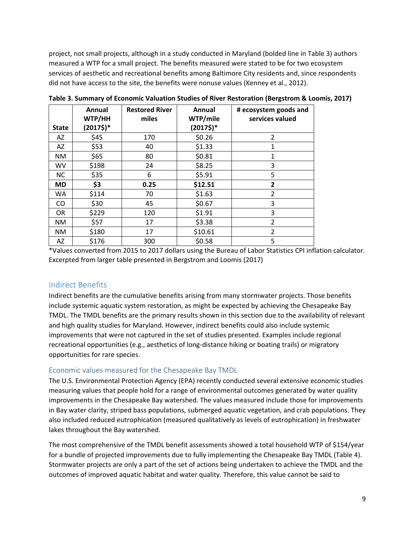project, not small projects, although in a study conducted in Maryland (bolded line in Table 3) authors measured a WTP for a small project. The benefits measured were stated to be for two ecosystem services of aesthetic and recreational benefits among Baltimore City residents and, since respondents did not have access to the site, the benefits were nonuse values (Kenney et al., 2012).

|              | Annual<br>WTP/HH        | <b>Restored River</b><br>miles | Annual<br>WTP/mile | # ecosystem goods and<br>services valued |
|--------------|-------------------------|--------------------------------|--------------------|------------------------------------------|
| <b>State</b> | $(2017\$ ) <sup>*</sup> |                                | $(2017\$           |                                          |
| AZ           | \$45                    | 170                            | \$0.26             | $\mathcal{P}$                            |
| AZ           | \$53                    | 40                             | \$1.33             | 1                                        |
| <b>NM</b>    | \$65                    | 80                             | \$0.81             | 1                                        |
| <b>WV</b>    | \$198                   | 24                             | \$8.25             | 3                                        |
| <b>NC</b>    | \$35                    | 6                              | \$5.91             | 5                                        |
| <b>MD</b>    | \$3                     | 0.25                           | \$12.51            | $\mathbf{2}$                             |
| WA.          | \$114                   | 70                             | \$1.63             | $\overline{2}$                           |
| CO           | \$30                    | 45                             | \$0.67             | 3                                        |
| <b>OR</b>    | \$229                   | 120                            | \$1.91             | 3                                        |
| NM.          | \$57                    | 17                             | \$3.38             | $\overline{2}$                           |
| NM.          | \$180                   | 17                             | \$10.61            | $\overline{2}$                           |
| AZ           | \$176                   | 300                            | \$0.58             | 5                                        |

**Table 3. Summary of Economic Valuation Studies of River Restoration (Bergstrom & Loomis, 2017)** 

\*Values converted from 2015 to 2017 dollars using the Bureau of Labor Statistics CPI inflation calculator. Excerpted from larger table presented in Bergstrom and Loomis (2017)

#### Indirect Benefits

Indirect benefits are the cumulative benefits arising from many stormwater projects. Those benefits include systemic aquatic system restoration, as might be expected by achieving the Chesapeake Bay TMDL. The TMDL benefits are the primary results shown in this section due to the availability of relevant and high quality studies for Maryland. However, indirect benefits could also include systemic improvements that were not captured in the set of studies presented. Examples include regional recreational opportunities (e.g., aesthetics of long‐distance hiking or boating trails) or migratory opportunities for rare species.

#### Economic values measured for the Chesapeake Bay TMDL

The U.S. Environmental Protection Agency (EPA) recently conducted several extensive economic studies measuring values that people hold for a range of environmental outcomes generated by water quality improvements in the Chesapeake Bay watershed. The values measured include those for improvements in Bay water clarity, striped bass populations, submerged aquatic vegetation, and crab populations. They also included reduced eutrophication (measured qualitatively as levels of eutrophication) in freshwater lakes throughout the Bay watershed.

The most comprehensive of the TMDL benefit assessments showed a total household WTP of \$154/year for a bundle of projected improvements due to fully implementing the Chesapeake Bay TMDL (Table 4). Stormwater projects are only a part of the set of actions being undertaken to achieve the TMDL and the outcomes of improved aquatic habitat and water quality. Therefore, this value cannot be said to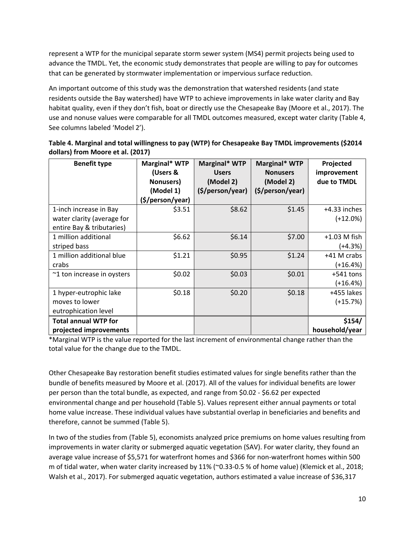represent a WTP for the municipal separate storm sewer system (MS4) permit projects being used to advance the TMDL. Yet, the economic study demonstrates that people are willing to pay for outcomes that can be generated by stormwater implementation or impervious surface reduction.

An important outcome of this study was the demonstration that watershed residents (and state residents outside the Bay watershed) have WTP to achieve improvements in lake water clarity and Bay habitat quality, even if they don't fish, boat or directly use the Chesapeake Bay (Moore et al., 2017). The use and nonuse values were comparable for all TMDL outcomes measured, except water clarity (Table 4, See columns labeled 'Model 2').

| <b>Benefit type</b>                                                               | Marginal* WTP<br>(Users &<br>Nonusers)<br>(Model 1) | Marginal* WTP<br><b>Users</b><br>(Model 2)<br>(\$/person/year) | Marginal* WTP<br><b>Nonusers</b><br>(Model 2)<br>(\$/person/year) | Projected<br>improvement<br>due to TMDL |
|-----------------------------------------------------------------------------------|-----------------------------------------------------|----------------------------------------------------------------|-------------------------------------------------------------------|-----------------------------------------|
| 1-inch increase in Bay<br>water clarity (average for<br>entire Bay & tributaries) | (\$/person/year)<br>\$3.51                          | \$8.62                                                         | \$1.45                                                            | +4.33 inches<br>$(+12.0\%)$             |
| 1 million additional<br>striped bass                                              | \$6.62                                              | \$6.14                                                         | \$7.00                                                            | $+1.03$ M fish<br>(+4.3%)               |
| 1 million additional blue<br>crabs                                                | \$1.21                                              | \$0.95                                                         | \$1.24                                                            | +41 M crabs<br>(+16.4%)                 |
| ~1 ton increase in oysters                                                        | \$0.02                                              | \$0.03                                                         | \$0.01                                                            | $+541$ tons<br>(+16.4%)                 |
| 1 hyper-eutrophic lake<br>moves to lower<br>eutrophication level                  | \$0.18                                              | \$0.20                                                         | \$0.18                                                            | +455 lakes<br>$(+15.7%)$                |
| <b>Total annual WTP for</b><br>projected improvements                             |                                                     |                                                                |                                                                   | \$154/<br>household/year                |

| Table 4. Marginal and total willingness to pay (WTP) for Chesapeake Bay TMDL improvements (\$2014 |  |
|---------------------------------------------------------------------------------------------------|--|
| dollars) from Moore et al. (2017)                                                                 |  |

\*Marginal WTP is the value reported for the last increment of environmental change rather than the total value for the change due to the TMDL.

Other Chesapeake Bay restoration benefit studies estimated values for single benefits rather than the bundle of benefits measured by Moore et al. (2017). All of the values for individual benefits are lower per person than the total bundle, as expected, and range from \$0.02 ‐ \$6.62 per expected environmental change and per household (Table 5). Values represent either annual payments or total home value increase. These individual values have substantial overlap in beneficiaries and benefits and therefore, cannot be summed (Table 5).

In two of the studies from (Table 5), economists analyzed price premiums on home values resulting from improvements in water clarity or submerged aquatic vegetation (SAV). For water clarity, they found an average value increase of \$5,571 for waterfront homes and \$366 for non‐waterfront homes within 500 m of tidal water, when water clarity increased by 11% (~0.33‐0.5 % of home value) (Klemick et al., 2018; Walsh et al., 2017). For submerged aquatic vegetation, authors estimated a value increase of \$36,317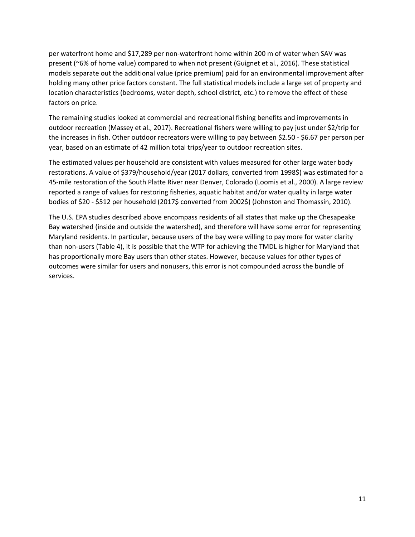per waterfront home and \$17,289 per non‐waterfront home within 200 m of water when SAV was present (~6% of home value) compared to when not present (Guignet et al., 2016). These statistical models separate out the additional value (price premium) paid for an environmental improvement after holding many other price factors constant. The full statistical models include a large set of property and location characteristics (bedrooms, water depth, school district, etc.) to remove the effect of these factors on price.

The remaining studies looked at commercial and recreational fishing benefits and improvements in outdoor recreation (Massey et al., 2017). Recreational fishers were willing to pay just under \$2/trip for the increases in fish. Other outdoor recreators were willing to pay between \$2.50 ‐ \$6.67 per person per year, based on an estimate of 42 million total trips/year to outdoor recreation sites.

The estimated values per household are consistent with values measured for other large water body restorations. A value of \$379/household/year (2017 dollars, converted from 1998\$) was estimated for a 45-mile restoration of the South Platte River near Denver, Colorado (Loomis et al., 2000). A large review reported a range of values for restoring fisheries, aquatic habitat and/or water quality in large water bodies of \$20 - \$512 per household (2017\$ converted from 2002\$) (Johnston and Thomassin, 2010).

The U.S. EPA studies described above encompass residents of all states that make up the Chesapeake Bay watershed (inside and outside the watershed), and therefore will have some error for representing Maryland residents. In particular, because users of the bay were willing to pay more for water clarity than non‐users (Table 4), it is possible that the WTP for achieving the TMDL is higher for Maryland that has proportionally more Bay users than other states. However, because values for other types of outcomes were similar for users and nonusers, this error is not compounded across the bundle of services.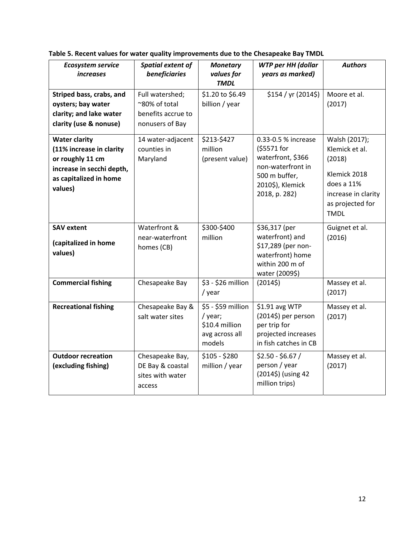| <b>Ecosystem service</b><br>increases                                                                                                  | Spatial extent of<br>beneficiaries                                        | <b>Monetary</b><br>values for<br><b>TMDL</b>                                | <b>WTP per HH (dollar</b><br>years as marked)                                                                                      | <b>Authors</b>                                                                                                                    |
|----------------------------------------------------------------------------------------------------------------------------------------|---------------------------------------------------------------------------|-----------------------------------------------------------------------------|------------------------------------------------------------------------------------------------------------------------------------|-----------------------------------------------------------------------------------------------------------------------------------|
| Striped bass, crabs, and<br>oysters; bay water<br>clarity; and lake water<br>clarity (use & nonuse)                                    | Full watershed;<br>~80% of total<br>benefits accrue to<br>nonusers of Bay | \$1.20 to \$6.49<br>billion / year                                          | \$154 / yr (2014\$)                                                                                                                | Moore et al.<br>(2017)                                                                                                            |
| <b>Water clarity</b><br>(11% increase in clarity<br>or roughly 11 cm<br>increase in secchi depth,<br>as capitalized in home<br>values) | 14 water-adjacent<br>counties in<br>Maryland                              | \$213-\$427<br>million<br>(present value)                                   | 0.33-0.5 % increase<br>(\$5571 for<br>waterfront, \$366<br>non-waterfront in<br>500 m buffer,<br>2010\$), Klemick<br>2018, p. 282) | Walsh (2017);<br>Klemick et al.<br>(2018)<br>Klemick 2018<br>does a 11%<br>increase in clarity<br>as projected for<br><b>TMDL</b> |
| <b>SAV extent</b><br>(capitalized in home<br>values)                                                                                   | Waterfront &<br>near-waterfront<br>homes (CB)                             | \$300-\$400<br>million                                                      | \$36,317 (per<br>waterfront) and<br>\$17,289 (per non-<br>waterfront) home<br>within 200 m of<br>water (2009\$)                    | Guignet et al.<br>(2016)                                                                                                          |
| <b>Commercial fishing</b>                                                                                                              | Chesapeake Bay                                                            | \$3 - \$26 million<br>/ year                                                | (20145)                                                                                                                            | Massey et al.<br>(2017)                                                                                                           |
| <b>Recreational fishing</b>                                                                                                            | Chesapeake Bay &<br>salt water sites                                      | \$5 - \$59 million<br>/ year;<br>\$10.4 million<br>avg across all<br>models | \$1.91 avg WTP<br>(2014\$) per person<br>per trip for<br>projected increases<br>in fish catches in CB                              | Massey et al.<br>(2017)                                                                                                           |
| <b>Outdoor recreation</b><br>(excluding fishing)                                                                                       | Chesapeake Bay,<br>DE Bay & coastal<br>sites with water<br>access         | $$105 - $280$<br>million / year                                             | $$2.50 - $6.67/$<br>person / year<br>(2014\$) (using 42<br>million trips)                                                          | Massey et al.<br>(2017)                                                                                                           |

**Table 5. Recent values for water quality improvements due to the Chesapeake Bay TMDL**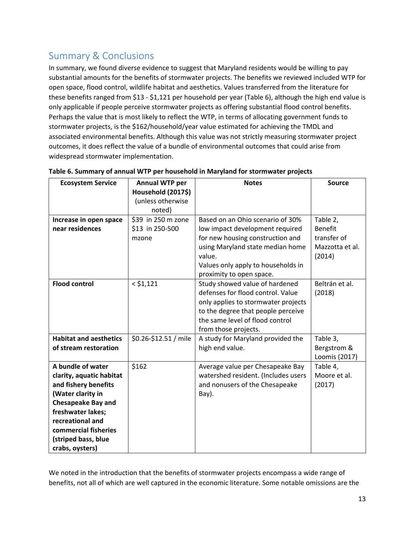# Summary & Conclusions

In summary, we found diverse evidence to suggest that Maryland residents would be willing to pay substantial amounts for the benefits of stormwater projects. The benefits we reviewed included WTP for open space, flood control, wildlife habitat and aesthetics. Values transferred from the literature for these benefits ranged from \$13 ‐ \$1,121 per household per year (Table 6), although the high end value is only applicable if people perceive stormwater projects as offering substantial flood control benefits. Perhaps the value that is most likely to reflect the WTP, in terms of allocating government funds to stormwater projects, is the \$162/household/year value estimated for achieving the TMDL and associated environmental benefits. Although this value was not strictly measuring stormwater project outcomes, it does reflect the value of a bundle of environmental outcomes that could arise from widespread stormwater implementation.

| <b>Ecosystem Service</b>      | Annual WTP per<br>Household (2017\$) | <b>Notes</b>                                              | <b>Source</b>   |
|-------------------------------|--------------------------------------|-----------------------------------------------------------|-----------------|
|                               | (unless otherwise<br>noted)          |                                                           |                 |
| Increase in open space        | \$39 in 250 m zone                   | Based on an Ohio scenario of 30%                          | Table 2,        |
| near residences               | \$13 in 250-500                      | low impact development required                           | <b>Benefit</b>  |
|                               | mzone                                | for new housing construction and                          | transfer of     |
|                               |                                      | using Maryland state median home                          | Mazzotta et al. |
|                               |                                      | value.                                                    | (2014)          |
|                               |                                      | Values only apply to households in                        |                 |
|                               |                                      | proximity to open space.                                  |                 |
| <b>Flood control</b>          | $<$ \$1,121                          | Study showed value of hardened                            | Beltrán et al.  |
|                               |                                      | defenses for flood control. Value                         | (2018)          |
|                               |                                      | only applies to stormwater projects                       |                 |
|                               |                                      | to the degree that people perceive                        |                 |
|                               |                                      | the same level of flood control                           |                 |
| <b>Habitat and aesthetics</b> | \$0.26-\$12.51 / mile                | from those projects.<br>A study for Maryland provided the | Table 3,        |
| of stream restoration         |                                      | high end value.                                           | Bergstrom &     |
|                               |                                      |                                                           | Loomis (2017)   |
| A bundle of water             | \$162                                | Average value per Chesapeake Bay                          | Table 4,        |
| clarity, aquatic habitat      |                                      | watershed resident. (Includes users                       | Moore et al.    |
| and fishery benefits          |                                      | and nonusers of the Chesapeake                            | (2017)          |
| (Water clarity in             |                                      | Bay).                                                     |                 |
| <b>Chesapeake Bay and</b>     |                                      |                                                           |                 |
| freshwater lakes;             |                                      |                                                           |                 |
| recreational and              |                                      |                                                           |                 |
| commercial fisheries          |                                      |                                                           |                 |
| (striped bass, blue           |                                      |                                                           |                 |
| crabs, oysters)               |                                      |                                                           |                 |

#### **Table 6. Summary of annual WTP per household in Maryland for stormwater projects**

We noted in the introduction that the benefits of stormwater projects encompass a wide range of benefits, not all of which are well captured in the economic literature. Some notable omissions are the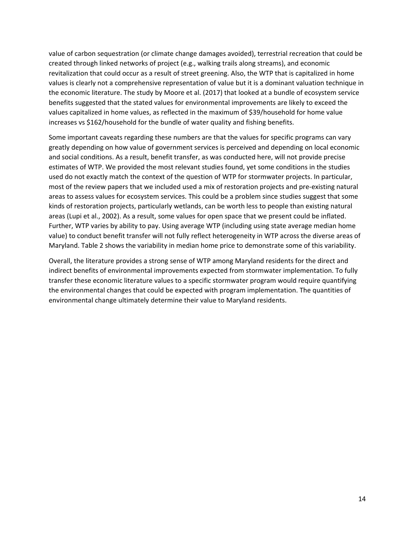value of carbon sequestration (or climate change damages avoided), terrestrial recreation that could be created through linked networks of project (e.g., walking trails along streams), and economic revitalization that could occur as a result of street greening. Also, the WTP that is capitalized in home values is clearly not a comprehensive representation of value but it is a dominant valuation technique in the economic literature. The study by Moore et al. (2017) that looked at a bundle of ecosystem service benefits suggested that the stated values for environmental improvements are likely to exceed the values capitalized in home values, as reflected in the maximum of \$39/household for home value increases vs \$162/household for the bundle of water quality and fishing benefits.

Some important caveats regarding these numbers are that the values for specific programs can vary greatly depending on how value of government services is perceived and depending on local economic and social conditions. As a result, benefit transfer, as was conducted here, will not provide precise estimates of WTP. We provided the most relevant studies found, yet some conditions in the studies used do not exactly match the context of the question of WTP for stormwater projects. In particular, most of the review papers that we included used a mix of restoration projects and pre‐existing natural areas to assess values for ecosystem services. This could be a problem since studies suggest that some kinds of restoration projects, particularly wetlands, can be worth less to people than existing natural areas (Lupi et al., 2002). As a result, some values for open space that we present could be inflated. Further, WTP varies by ability to pay. Using average WTP (including using state average median home value) to conduct benefit transfer will not fully reflect heterogeneity in WTP across the diverse areas of Maryland. Table 2 shows the variability in median home price to demonstrate some of this variability.

Overall, the literature provides a strong sense of WTP among Maryland residents for the direct and indirect benefits of environmental improvements expected from stormwater implementation. To fully transfer these economic literature values to a specific stormwater program would require quantifying the environmental changes that could be expected with program implementation. The quantities of environmental change ultimately determine their value to Maryland residents.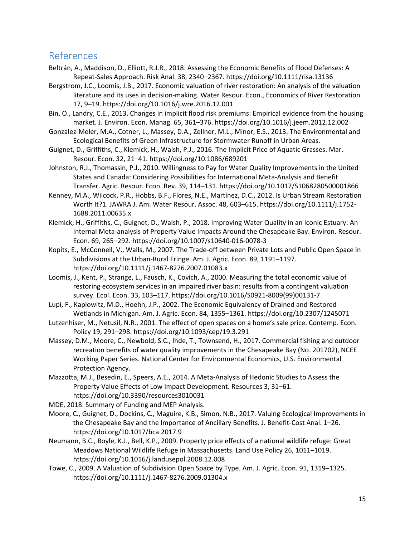## References

- Beltrán, A., Maddison, D., Elliott, R.J.R., 2018. Assessing the Economic Benefits of Flood Defenses: A Repeat‐Sales Approach. Risk Anal. 38, 2340–2367. https://doi.org/10.1111/risa.13136
- Bergstrom, J.C., Loomis, J.B., 2017. Economic valuation of river restoration: An analysis of the valuation literature and its uses in decision‐making. Water Resour. Econ., Economics of River Restoration 17, 9–19. https://doi.org/10.1016/j.wre.2016.12.001
- Bin, O., Landry, C.E., 2013. Changes in implicit flood risk premiums: Empirical evidence from the housing market. J. Environ. Econ. Manag. 65, 361–376. https://doi.org/10.1016/j.jeem.2012.12.002
- Gonzalez‐Meler, M.A., Cotner, L., Massey, D.A., Zellner, M.L., Minor, E.S., 2013. The Environmental and Ecological Benefits of Green Infrastructure for Stormwater Runoff in Urban Areas.
- Guignet, D., Griffiths, C., Klemick, H., Walsh, P.J., 2016. The Implicit Price of Aquatic Grasses. Mar. Resour. Econ. 32, 21–41. https://doi.org/10.1086/689201
- Johnston, R.J., Thomassin, P.J., 2010. Willingness to Pay for Water Quality Improvements in the United States and Canada: Considering Possibilities for International Meta‐Analysis and Benefit Transfer. Agric. Resour. Econ. Rev. 39, 114–131. https://doi.org/10.1017/S1068280500001866
- Kenney, M.A., Wilcock, P.R., Hobbs, B.F., Flores, N.E., Martínez, D.C., 2012. Is Urban Stream Restoration Worth It?1. JAWRA J. Am. Water Resour. Assoc. 48, 603–615. https://doi.org/10.1111/j.1752‐ 1688.2011.00635.x
- Klemick, H., Griffiths, C., Guignet, D., Walsh, P., 2018. Improving Water Quality in an Iconic Estuary: An Internal Meta-analysis of Property Value Impacts Around the Chesapeake Bay. Environ. Resour. Econ. 69, 265–292. https://doi.org/10.1007/s10640‐016‐0078‐3
- Kopits, E., McConnell, V., Walls, M., 2007. The Trade‐off between Private Lots and Public Open Space in Subdivisions at the Urban‐Rural Fringe. Am. J. Agric. Econ. 89, 1191–1197. https://doi.org/10.1111/j.1467‐8276.2007.01083.x
- Loomis, J., Kent, P., Strange, L., Fausch, K., Covich, A., 2000. Measuring the total economic value of restoring ecosystem services in an impaired river basin: results from a contingent valuation survey. Ecol. Econ. 33, 103–117. https://doi.org/10.1016/S0921‐8009(99)00131‐7
- Lupi, F., Kaplowitz, M.D., Hoehn, J.P., 2002. The Economic Equivalency of Drained and Restored Wetlands in Michigan. Am. J. Agric. Econ. 84, 1355–1361. https://doi.org/10.2307/1245071
- Lutzenhiser, M., Netusil, N.R., 2001. The effect of open spaces on a home's sale price. Contemp. Econ. Policy 19, 291–298. https://doi.org/10.1093/cep/19.3.291
- Massey, D.M., Moore, C., Newbold, S.C., Ihde, T., Townsend, H., 2017. Commercial fishing and outdoor recreation benefits of water quality improvements in the Chesapeake Bay (No. 201702), NCEE Working Paper Series. National Center for Environmental Economics, U.S. Environmental Protection Agency.
- Mazzotta, M.J., Besedin, E., Speers, A.E., 2014. A Meta‐Analysis of Hedonic Studies to Assess the Property Value Effects of Low Impact Development. Resources 3, 31–61. https://doi.org/10.3390/resources3010031
- MDE, 2018. Summary of Funding and MEP Analysis.
- Moore, C., Guignet, D., Dockins, C., Maguire, K.B., Simon, N.B., 2017. Valuing Ecological Improvements in the Chesapeake Bay and the Importance of Ancillary Benefits. J. Benefit‐Cost Anal. 1–26. https://doi.org/10.1017/bca.2017.9
- Neumann, B.C., Boyle, K.J., Bell, K.P., 2009. Property price effects of a national wildlife refuge: Great Meadows National Wildlife Refuge in Massachusetts. Land Use Policy 26, 1011–1019. https://doi.org/10.1016/j.landusepol.2008.12.008
- Towe, C., 2009. A Valuation of Subdivision Open Space by Type. Am. J. Agric. Econ. 91, 1319–1325. https://doi.org/10.1111/j.1467‐8276.2009.01304.x